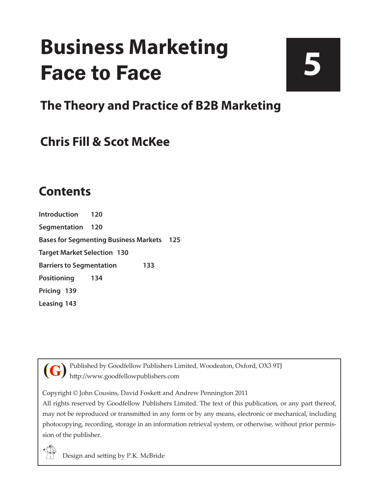# **Business Marketing** Face to Face

# **5**

**The Theory and Practice of B2B Marketing**

## **Chris Fill & Scot McKee**

### **Contents**

**[Introduction](#page--1-0) 120 [Segmentation](#page--1-0) 120 [Bases for Segmenting Business Markets](#page--1-0) 125 [Target Market Selection](#page--1-0) 130 [Barriers to Segmentation](#page--1-0) 133 [Positioning](#page--1-0) 134 [Pricing](#page--1-0) 139 [Leasing](#page--1-0) 143**

Published by Goodfellow Publishers Limited, Woodeaton, Oxford, OX3 9TJ http://www.goodfellowpublishers.com **(G)**

Copyright © John Cousins, David Foskett and Andrew Pennington 2011

All rights reserved by Goodfellow Publishers Limited. The text of this publication, or any part thereof, may not be reproduced or transmitted in any form or by any means, electronic or mechanical, including photocopying, recording, storage in an information retrieval system, or otherwise, without prior permission of the publisher.

Design and setting by P.K. McBride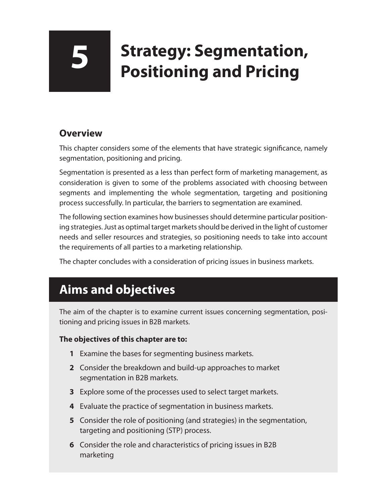# **5 Strategy: Segmentation, Positioning and Pricing**

#### **Overview**

This chapter considers some of the elements that have strategic significance, namely segmentation, positioning and pricing.

Segmentation is presented as a less than perfect form of marketing management, as consideration is given to some of the problems associated with choosing between segments and implementing the whole segmentation, targeting and positioning process successfully. In particular, the barriers to segmentation are examined.

The following section examines how businesses should determine particular positioning strategies. Just as optimal target markets should be derived in the light of customer needs and seller resources and strategies, so positioning needs to take into account the requirements of all parties to a marketing relationship.

The chapter concludes with a consideration of pricing issues in business markets.

# **Aims and objectives**

The aim of the chapter is to examine current issues concerning segmentation, positioning and pricing issues in B2B markets.

#### **The objectives of this chapter are to:**

- **1** Examine the bases for segmenting business markets.
- **2** Consider the breakdown and build-up approaches to market segmentation in B2B markets.
- **3** Explore some of the processes used to select target markets.
- **4** Evaluate the practice of segmentation in business markets.
- **5** Consider the role of positioning (and strategies) in the segmentation, targeting and positioning (STP) process.
- **6** Consider the role and characteristics of pricing issues in B2B marketing